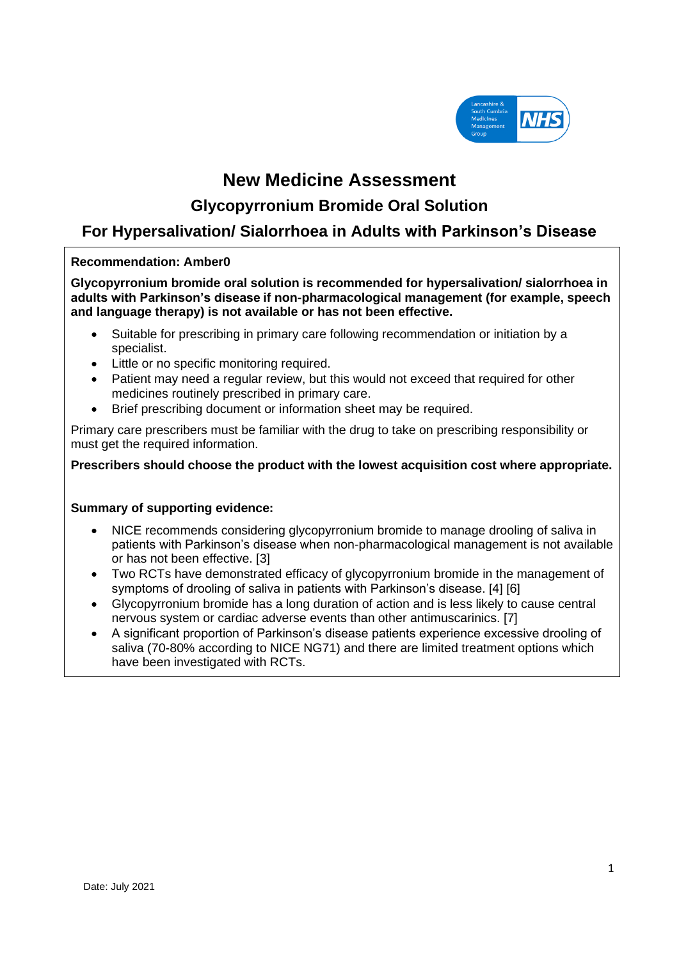

# **New Medicine Assessment**

# **Glycopyrronium Bromide Oral Solution**

# **For Hypersalivation/ Sialorrhoea in Adults with Parkinson's Disease**

## **Recommendation: Amber0**

**Glycopyrronium bromide oral solution is recommended for hypersalivation/ sialorrhoea in adults with Parkinson's disease if non-pharmacological management (for example, speech and language therapy) is not available or has not been effective.**

- Suitable for prescribing in primary care following recommendation or initiation by a specialist.
- Little or no specific monitoring required.
- Patient may need a regular review, but this would not exceed that required for other medicines routinely prescribed in primary care.
- Brief prescribing document or information sheet may be required.

Primary care prescribers must be familiar with the drug to take on prescribing responsibility or must get the required information.

**Prescribers should choose the product with the lowest acquisition cost where appropriate.**

### **Summary of supporting evidence:**

- NICE recommends considering glycopyrronium bromide to manage drooling of saliva in patients with Parkinson's disease when non-pharmacological management is not available or has not been effective. [3]
- Two RCTs have demonstrated efficacy of glycopyrronium bromide in the management of symptoms of drooling of saliva in patients with Parkinson's disease. [4] [6]
- Glycopyrronium bromide has a long duration of action and is less likely to cause central nervous system or cardiac adverse events than other antimuscarinics. [7]
- A significant proportion of Parkinson's disease patients experience excessive drooling of saliva (70-80% according to NICE NG71) and there are limited treatment options which have been investigated with RCTs.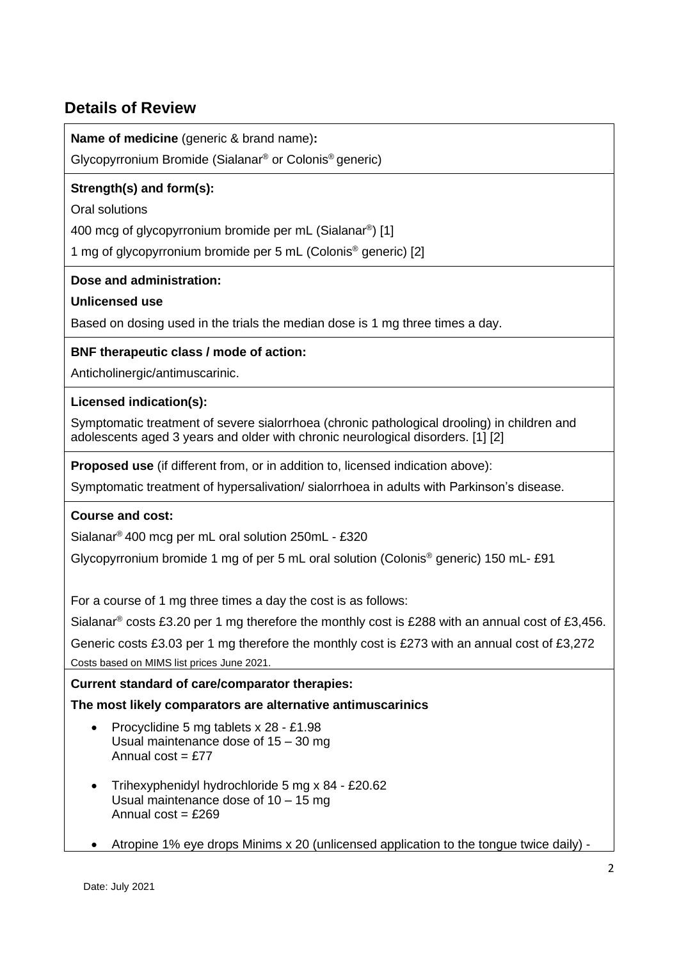# **Details of Review**

**Name of medicine** (generic & brand name)**:** 

Glycopyrronium Bromide (Sialanar® or Colonis® generic)

# **Strength(s) and form(s):**

Oral solutions

400 mcg of glycopyrronium bromide per mL (Sialanar®) [1]

1 mg of glycopyrronium bromide per 5 mL (Colonis® generic) [2]

**Dose and administration:**

**Unlicensed use**

Based on dosing used in the trials the median dose is 1 mg three times a day.

## **BNF therapeutic class / mode of action:**

Anticholinergic/antimuscarinic.

### **Licensed indication(s):**

Symptomatic treatment of severe sialorrhoea (chronic pathological drooling) in children and adolescents aged 3 years and older with chronic neurological disorders. [1] [2]

**Proposed use** (if different from, or in addition to, licensed indication above):

Symptomatic treatment of hypersalivation/ sialorrhoea in adults with Parkinson's disease.

# **Course and cost:**

Sialanar® 400 mcg per mL oral solution 250mL - £320

Glycopyrronium bromide 1 mg of per 5 mL oral solution (Colonis® generic) 150 mL- £91

For a course of 1 mg three times a day the cost is as follows:

Sialanar® costs £3.20 per 1 mg therefore the monthly cost is £288 with an annual cost of £3,456. Generic costs £3.03 per 1 mg therefore the monthly cost is £273 with an annual cost of £3,272

Costs based on MIMS list prices June 2021.

# **Current standard of care/comparator therapies:**

**The most likely comparators are alternative antimuscarinics**

- Procyclidine 5 mg tablets x 28 £1.98 Usual maintenance dose of 15 – 30 mg Annual cost  $=$  £77
- Trihexyphenidyl hydrochloride 5 mg x 84 £20.62 Usual maintenance dose of 10 – 15 mg Annual  $cost = £269$
- Atropine 1% eye drops Minims x 20 (unlicensed application to the tongue twice daily) -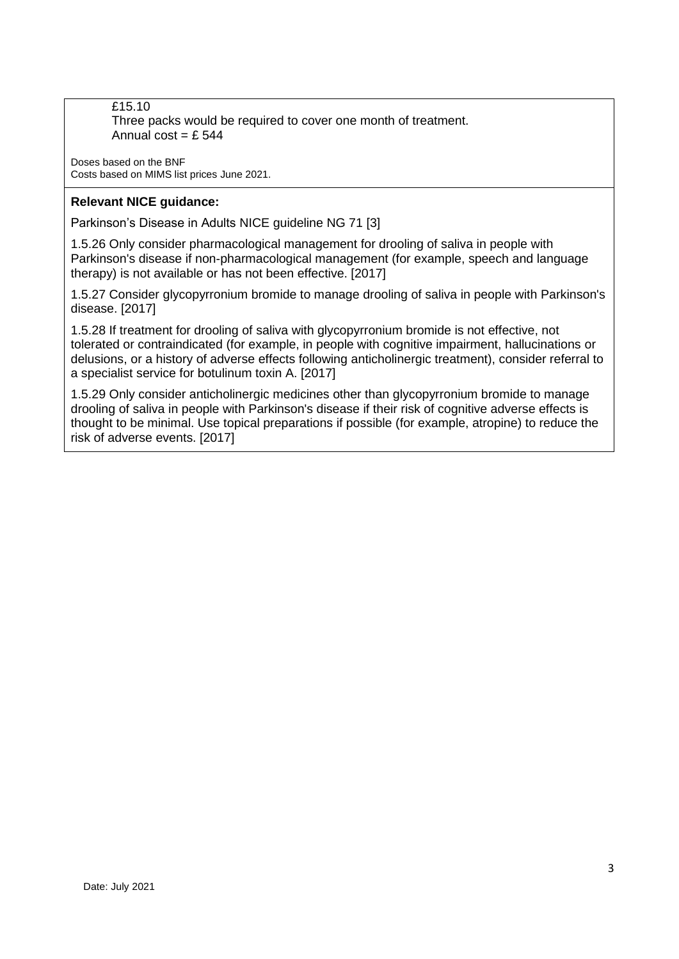£15.10 Three packs would be required to cover one month of treatment. Annual cost =  $f$  544

Doses based on the BNF Costs based on MIMS list prices June 2021.

## **Relevant NICE guidance:**

Parkinson's Disease in Adults NICE guideline NG 71 [3]

1.5.26 Only consider pharmacological management for drooling of saliva in people with Parkinson's disease if non-pharmacological management (for example, speech and language therapy) is not available or has not been effective. [2017]

1.5.27 Consider glycopyrronium bromide to manage drooling of saliva in people with Parkinson's disease. [2017]

1.5.28 If treatment for drooling of saliva with glycopyrronium bromide is not effective, not tolerated or contraindicated (for example, in people with cognitive impairment, hallucinations or delusions, or a history of adverse effects following anticholinergic treatment), consider referral to a specialist service for botulinum toxin A. [2017]

1.5.29 Only consider anticholinergic medicines other than glycopyrronium bromide to manage drooling of saliva in people with Parkinson's disease if their risk of cognitive adverse effects is thought to be minimal. Use topical preparations if possible (for example, atropine) to reduce the risk of adverse events. [2017]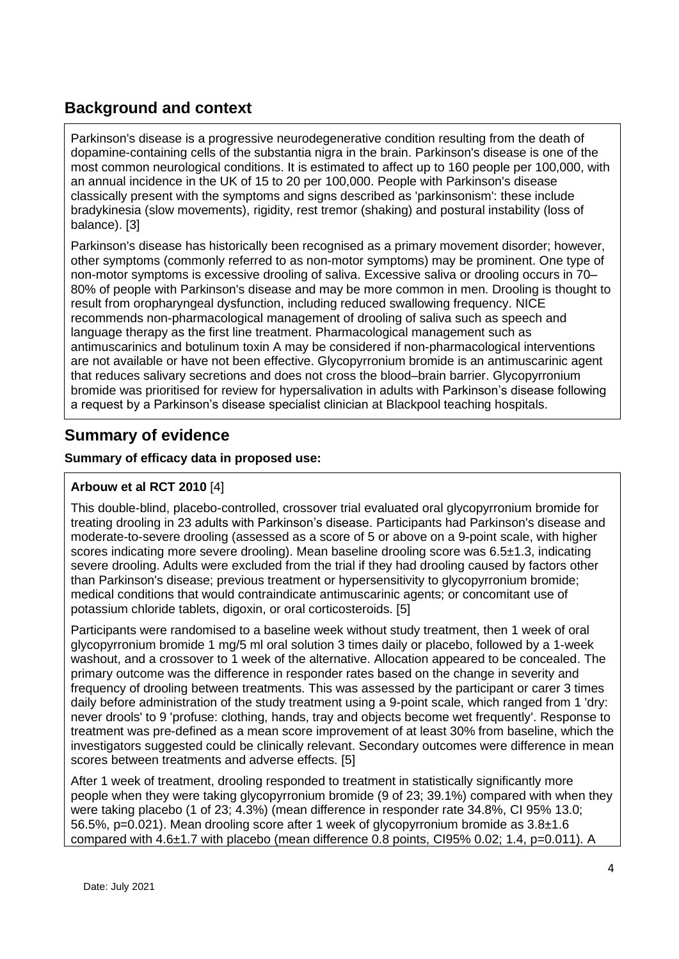# **Background and context**

Parkinson's disease is a progressive neurodegenerative condition resulting from the death of dopamine-containing cells of the substantia nigra in the brain. Parkinson's disease is one of the most common neurological conditions. It is estimated to affect up to 160 people per 100,000, with an annual incidence in the UK of 15 to 20 per 100,000. People with Parkinson's disease classically present with the symptoms and signs described as 'parkinsonism': these include bradykinesia (slow movements), rigidity, rest tremor (shaking) and postural instability (loss of balance). [3]

Parkinson's disease has historically been recognised as a primary movement disorder; however, other symptoms (commonly referred to as non-motor symptoms) may be prominent. One type of non-motor symptoms is excessive drooling of saliva. Excessive saliva or drooling occurs in 70– 80% of people with Parkinson's disease and may be more common in men. Drooling is thought to result from oropharyngeal dysfunction, including reduced swallowing frequency. NICE recommends non-pharmacological management of drooling of saliva such as speech and language therapy as the first line treatment. Pharmacological management such as antimuscarinics and botulinum toxin A may be considered if non-pharmacological interventions are not available or have not been effective. Glycopyrronium bromide is an antimuscarinic agent that reduces salivary secretions and does not cross the blood–brain barrier. Glycopyrronium bromide was prioritised for review for hypersalivation in adults with Parkinson's disease following a request by a Parkinson's disease specialist clinician at Blackpool teaching hospitals.

# **Summary of evidence**

# **Summary of efficacy data in proposed use:**

# **Arbouw et al RCT 2010** [4]

This double-blind, placebo-controlled, crossover trial evaluated oral glycopyrronium bromide for treating drooling in 23 adults with Parkinson's disease. Participants had Parkinson's disease and moderate-to-severe drooling (assessed as a score of 5 or above on a 9-point scale, with higher scores indicating more severe drooling). Mean baseline drooling score was 6.5±1.3, indicating severe drooling. Adults were excluded from the trial if they had drooling caused by factors other than Parkinson's disease; previous treatment or hypersensitivity to glycopyrronium bromide; medical conditions that would contraindicate antimuscarinic agents; or concomitant use of potassium chloride tablets, digoxin, or oral corticosteroids. [5]

Participants were randomised to a baseline week without study treatment, then 1 week of oral glycopyrronium bromide 1 mg/5 ml oral solution 3 times daily or placebo, followed by a 1-week washout, and a crossover to 1 week of the alternative. Allocation appeared to be concealed. The primary outcome was the difference in responder rates based on the change in severity and frequency of drooling between treatments. This was assessed by the participant or carer 3 times daily before administration of the study treatment using a 9-point scale, which ranged from 1 'dry: never drools' to 9 'profuse: clothing, hands, tray and objects become wet frequently'. Response to treatment was pre-defined as a mean score improvement of at least 30% from baseline, which the investigators suggested could be clinically relevant. Secondary outcomes were difference in mean scores between treatments and adverse effects. [5]

After 1 week of treatment, drooling responded to treatment in statistically significantly more people when they were taking glycopyrronium bromide (9 of 23; 39.1%) compared with when they were taking placebo (1 of 23; 4.3%) (mean difference in responder rate 34.8%, CI 95% 13.0; 56.5%, p=0.021). Mean drooling score after 1 week of glycopyrronium bromide as 3.8±1.6 compared with 4.6±1.7 with placebo (mean difference 0.8 points, CI95% 0.02; 1.4, p=0.011). A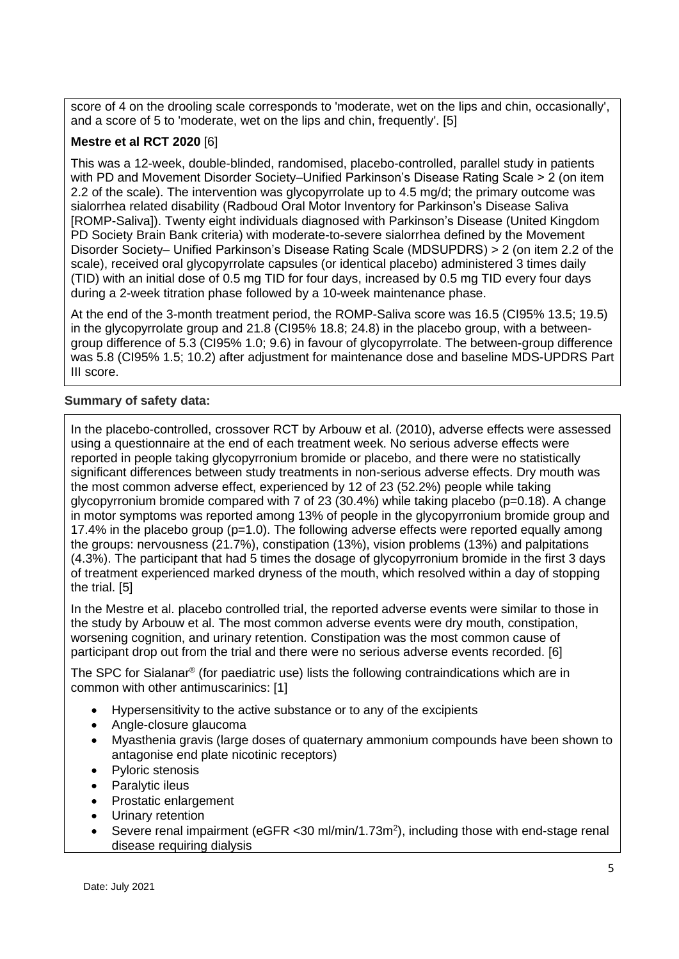score of 4 on the drooling scale corresponds to 'moderate, wet on the lips and chin, occasionally', and a score of 5 to 'moderate, wet on the lips and chin, frequently'. [5]

### **Mestre et al RCT 2020** [6]

This was a 12-week, double-blinded, randomised, placebo-controlled, parallel study in patients with PD and Movement Disorder Society–Unified Parkinson's Disease Rating Scale > 2 (on item 2.2 of the scale). The intervention was glycopyrrolate up to 4.5 mg/d; the primary outcome was sialorrhea related disability (Radboud Oral Motor Inventory for Parkinson's Disease Saliva [ROMP-Saliva]). Twenty eight individuals diagnosed with Parkinson's Disease (United Kingdom PD Society Brain Bank criteria) with moderate-to-severe sialorrhea defined by the Movement Disorder Society– Unified Parkinson's Disease Rating Scale (MDSUPDRS) > 2 (on item 2.2 of the scale), received oral glycopyrrolate capsules (or identical placebo) administered 3 times daily (TID) with an initial dose of 0.5 mg TID for four days, increased by 0.5 mg TID every four days during a 2-week titration phase followed by a 10-week maintenance phase.

At the end of the 3-month treatment period, the ROMP-Saliva score was 16.5 (CI95% 13.5; 19.5) in the glycopyrrolate group and 21.8 (CI95% 18.8; 24.8) in the placebo group, with a betweengroup difference of 5.3 (CI95% 1.0; 9.6) in favour of glycopyrrolate. The between-group difference was 5.8 (CI95% 1.5; 10.2) after adjustment for maintenance dose and baseline MDS-UPDRS Part III score.

### **Summary of safety data:**

In the placebo-controlled, crossover RCT by Arbouw et al. (2010), adverse effects were assessed using a questionnaire at the end of each treatment week. No serious adverse effects were reported in people taking glycopyrronium bromide or placebo, and there were no statistically significant differences between study treatments in non-serious adverse effects. Dry mouth was the most common adverse effect, experienced by 12 of 23 (52.2%) people while taking glycopyrronium bromide compared with 7 of 23 (30.4%) while taking placebo (p=0.18). A change in motor symptoms was reported among 13% of people in the glycopyrronium bromide group and 17.4% in the placebo group (p=1.0). The following adverse effects were reported equally among the groups: nervousness (21.7%), constipation (13%), vision problems (13%) and palpitations (4.3%). The participant that had 5 times the dosage of glycopyrronium bromide in the first 3 days of treatment experienced marked dryness of the mouth, which resolved within a day of stopping the trial. [5]

In the Mestre et al. placebo controlled trial, the reported adverse events were similar to those in the study by Arbouw et al. The most common adverse events were dry mouth, constipation, worsening cognition, and urinary retention. Constipation was the most common cause of participant drop out from the trial and there were no serious adverse events recorded. [6]

The SPC for Sialanar<sup>®</sup> (for paediatric use) lists the following contraindications which are in common with other antimuscarinics: [1]

- Hypersensitivity to the active substance or to any of the excipients
- Angle-closure glaucoma
- Myasthenia gravis (large doses of quaternary ammonium compounds have been shown to antagonise end plate nicotinic receptors)
- Pyloric stenosis
- Paralytic ileus
- Prostatic enlargement
- Urinary retention
- Severe renal impairment (eGFR < 30 ml/min/1.73m<sup>2</sup>), including those with end-stage renal disease requiring dialysis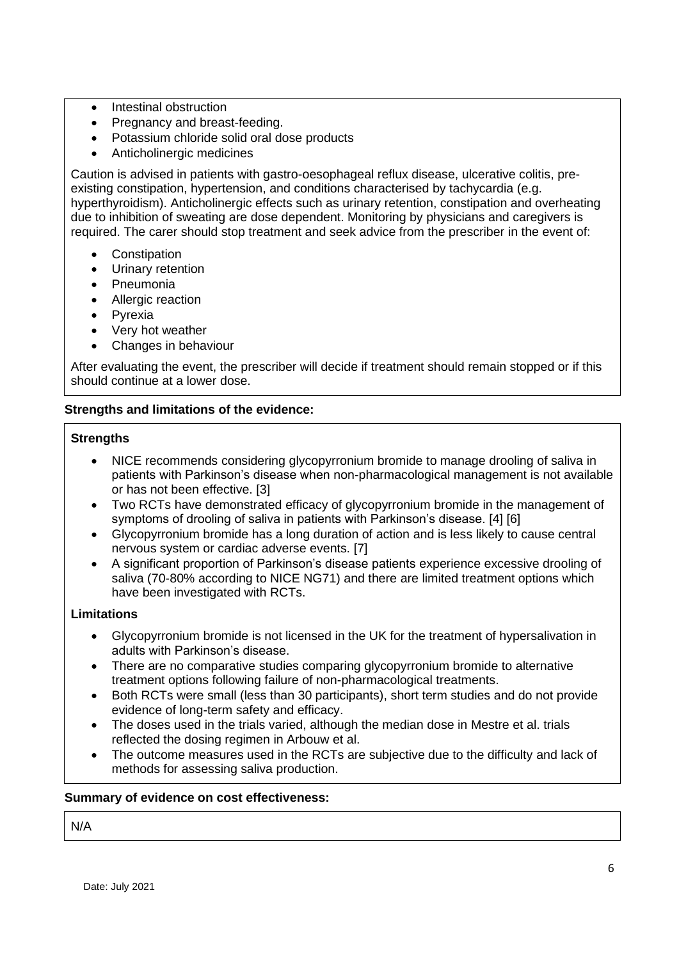- Intestinal obstruction
- Pregnancy and breast-feeding.
- Potassium chloride solid oral dose products
- Anticholinergic medicines

Caution is advised in patients with gastro-oesophageal reflux disease, ulcerative colitis, preexisting constipation, hypertension, and conditions characterised by tachycardia (e.g. hyperthyroidism). Anticholinergic effects such as urinary retention, constipation and overheating due to inhibition of sweating are dose dependent. Monitoring by physicians and caregivers is required. The carer should stop treatment and seek advice from the prescriber in the event of:

- **Constipation**
- Urinary retention
- Pneumonia
- Allergic reaction
- Pyrexia
- Very hot weather
- Changes in behaviour

After evaluating the event, the prescriber will decide if treatment should remain stopped or if this should continue at a lower dose.

## **Strengths and limitations of the evidence:**

### **Strengths**

- NICE recommends considering glycopyrronium bromide to manage drooling of saliva in patients with Parkinson's disease when non-pharmacological management is not available or has not been effective. [3]
- Two RCTs have demonstrated efficacy of glycopyrronium bromide in the management of symptoms of drooling of saliva in patients with Parkinson's disease. [4] [6]
- Glycopyrronium bromide has a long duration of action and is less likely to cause central nervous system or cardiac adverse events. [7]
- A significant proportion of Parkinson's disease patients experience excessive drooling of saliva (70-80% according to NICE NG71) and there are limited treatment options which have been investigated with RCTs.

# **Limitations**

- Glycopyrronium bromide is not licensed in the UK for the treatment of hypersalivation in adults with Parkinson's disease.
- There are no comparative studies comparing glycopyrronium bromide to alternative treatment options following failure of non-pharmacological treatments.
- Both RCTs were small (less than 30 participants), short term studies and do not provide evidence of long-term safety and efficacy.
- The doses used in the trials varied, although the median dose in Mestre et al. trials reflected the dosing regimen in Arbouw et al.
- The outcome measures used in the RCTs are subjective due to the difficulty and lack of methods for assessing saliva production.

### **Summary of evidence on cost effectiveness:**

N/A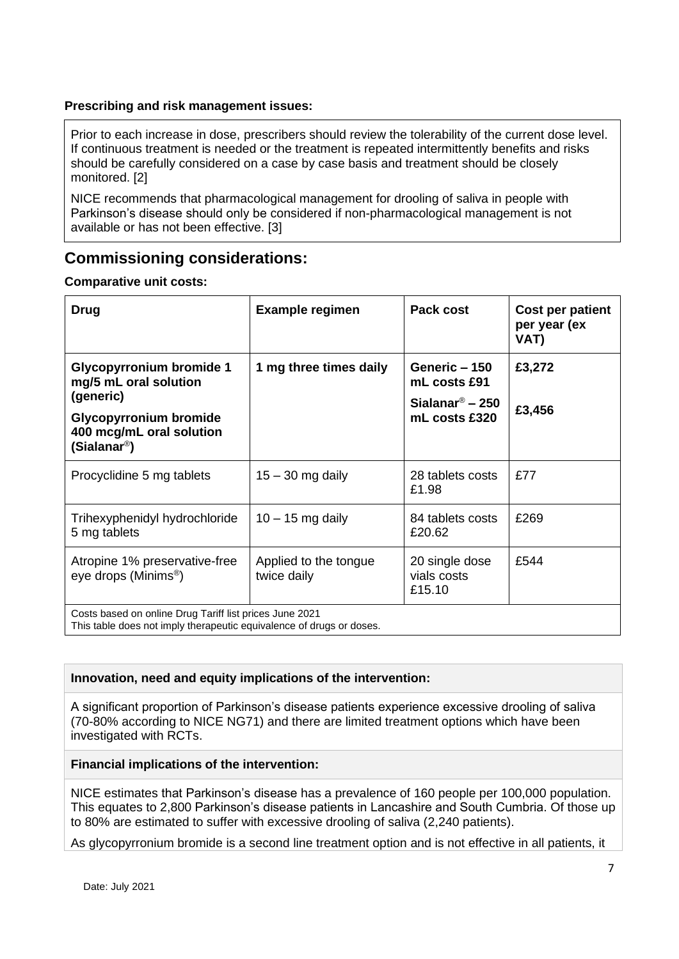## **Prescribing and risk management issues:**

Prior to each increase in dose, prescribers should review the tolerability of the current dose level. If continuous treatment is needed or the treatment is repeated intermittently benefits and risks should be carefully considered on a case by case basis and treatment should be closely monitored. [2]

NICE recommends that pharmacological management for drooling of saliva in people with Parkinson's disease should only be considered if non-pharmacological management is not available or has not been effective. [3]

# **Commissioning considerations:**

### **Comparative unit costs:**

| Drug                                                                                                                            | <b>Example regimen</b>               | Pack cost                               | Cost per patient<br>per year (ex<br>VAT) |  |
|---------------------------------------------------------------------------------------------------------------------------------|--------------------------------------|-----------------------------------------|------------------------------------------|--|
| <b>Glycopyrronium bromide 1</b><br>mg/5 mL oral solution                                                                        | 1 mg three times daily               | Generic - 150<br>mL costs £91           | £3,272                                   |  |
| (generic)                                                                                                                       |                                      | Sialanar $\textdegree$ – 250            | £3,456                                   |  |
| <b>Glycopyrronium bromide</b><br>400 mcg/mL oral solution<br>(Sialanar <sup>®</sup> )                                           |                                      | mL costs £320                           |                                          |  |
| Procyclidine 5 mg tablets                                                                                                       | $15 - 30$ mg daily                   | 28 tablets costs<br>£1.98               | £77                                      |  |
| Trihexyphenidyl hydrochloride<br>5 mg tablets                                                                                   | $10 - 15$ mg daily                   | 84 tablets costs<br>£20.62              | £269                                     |  |
| Atropine 1% preservative-free<br>eye drops (Minims <sup>®</sup> )                                                               | Applied to the tongue<br>twice daily | 20 single dose<br>vials costs<br>£15.10 | £544                                     |  |
| Costs based on online Drug Tariff list prices June 2021<br>This table does not imply therapeutic equivalence of drugs or doses. |                                      |                                         |                                          |  |

### **Innovation, need and equity implications of the intervention:**

A significant proportion of Parkinson's disease patients experience excessive drooling of saliva (70-80% according to NICE NG71) and there are limited treatment options which have been investigated with RCTs.

### **Financial implications of the intervention:**

NICE estimates that Parkinson's disease has a prevalence of 160 people per 100,000 population. This equates to 2,800 Parkinson's disease patients in Lancashire and South Cumbria. Of those up to 80% are estimated to suffer with excessive drooling of saliva (2,240 patients).

As glycopyrronium bromide is a second line treatment option and is not effective in all patients, it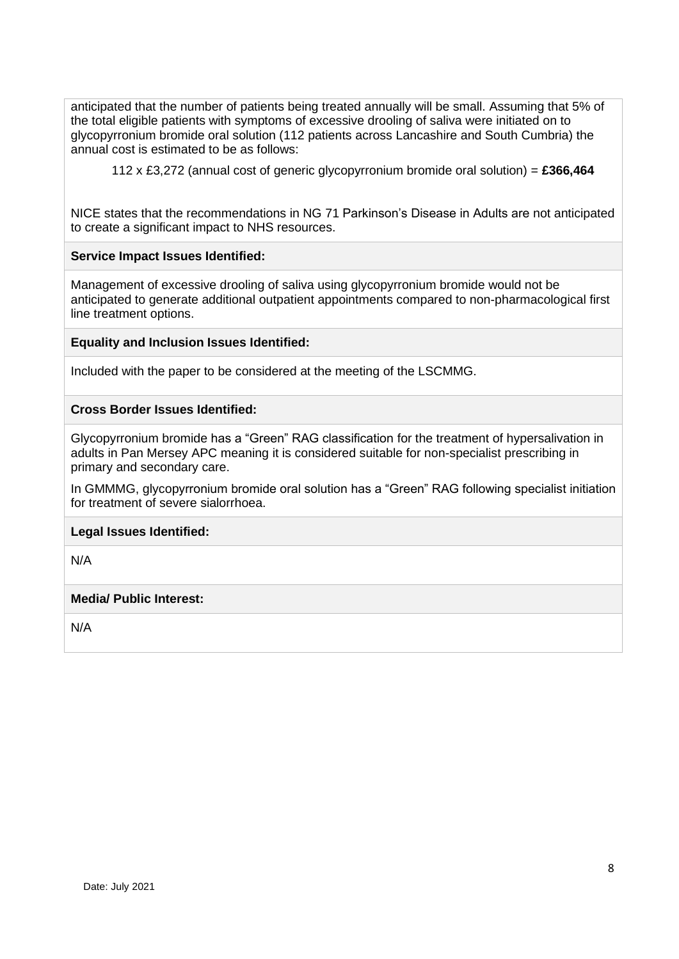anticipated that the number of patients being treated annually will be small. Assuming that 5% of the total eligible patients with symptoms of excessive drooling of saliva were initiated on to glycopyrronium bromide oral solution (112 patients across Lancashire and South Cumbria) the annual cost is estimated to be as follows:

112 x £3,272 (annual cost of generic glycopyrronium bromide oral solution) = **£366,464**

NICE states that the recommendations in NG 71 Parkinson's Disease in Adults are not anticipated to create a significant impact to NHS resources.

#### **Service Impact Issues Identified:**

Management of excessive drooling of saliva using glycopyrronium bromide would not be anticipated to generate additional outpatient appointments compared to non-pharmacological first line treatment options.

#### **Equality and Inclusion Issues Identified:**

Included with the paper to be considered at the meeting of the LSCMMG.

#### **Cross Border Issues Identified:**

Glycopyrronium bromide has a "Green" RAG classification for the treatment of hypersalivation in adults in Pan Mersey APC meaning it is considered suitable for non-specialist prescribing in primary and secondary care.

In GMMMG, glycopyrronium bromide oral solution has a "Green" RAG following specialist initiation for treatment of severe sialorrhoea.

#### **Legal Issues Identified:**

N/A

#### **Media/ Public Interest:**

N/A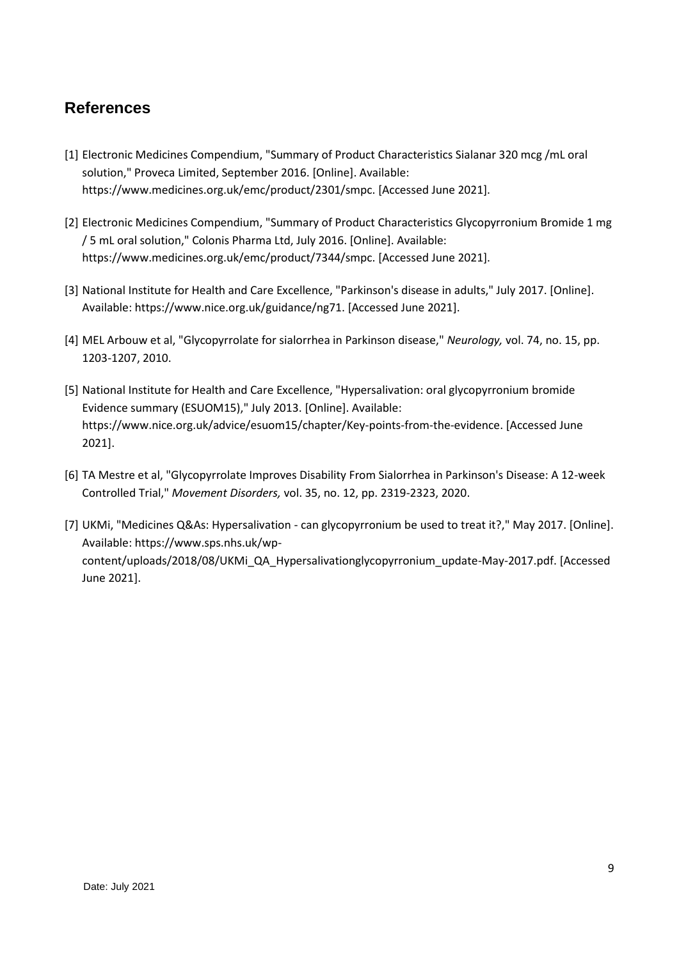# **References**

- [1] Electronic Medicines Compendium, "Summary of Product Characteristics Sialanar 320 mcg /mL oral solution," Proveca Limited, September 2016. [Online]. Available: https://www.medicines.org.uk/emc/product/2301/smpc. [Accessed June 2021].
- [2] Electronic Medicines Compendium, "Summary of Product Characteristics Glycopyrronium Bromide 1 mg / 5 mL oral solution," Colonis Pharma Ltd, July 2016. [Online]. Available: https://www.medicines.org.uk/emc/product/7344/smpc. [Accessed June 2021].
- [3] National Institute for Health and Care Excellence, "Parkinson's disease in adults," July 2017. [Online]. Available: https://www.nice.org.uk/guidance/ng71. [Accessed June 2021].
- [4] MEL Arbouw et al, "Glycopyrrolate for sialorrhea in Parkinson disease," *Neurology,* vol. 74, no. 15, pp. 1203-1207, 2010.
- [5] National Institute for Health and Care Excellence, "Hypersalivation: oral glycopyrronium bromide Evidence summary (ESUOM15)," July 2013. [Online]. Available: https://www.nice.org.uk/advice/esuom15/chapter/Key-points-from-the-evidence. [Accessed June 2021].
- [6] TA Mestre et al, "Glycopyrrolate Improves Disability From Sialorrhea in Parkinson's Disease: A 12-week Controlled Trial," *Movement Disorders,* vol. 35, no. 12, pp. 2319-2323, 2020.
- [7] UKMi, "Medicines Q&As: Hypersalivation can glycopyrronium be used to treat it?," May 2017. [Online]. Available: https://www.sps.nhs.uk/wpcontent/uploads/2018/08/UKMi\_QA\_Hypersalivationglycopyrronium\_update-May-2017.pdf. [Accessed June 2021].